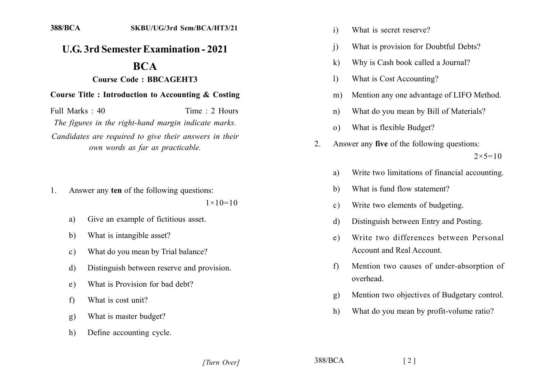## **U.G. 3rd Semester Examination - 2021**

# **BCA**

### **Course Code: BBCAGEHT3**

#### **Course Title : Introduction to Accounting & Costing**

Full Marks  $\cdot$  40 Time  $\cdot$  2 Hours The figures in the right-hand margin indicate marks. Candidates are required to give their answers in their own words as far as practicable.

1. Answer any ten of the following questions:

 $1 \times 10 = 10$ 

- Give an example of fictitious asset. a)
- What is intangible asset? b)
- What do you mean by Trial balance?  $\mathbf{c}$ )
- Distinguish between reserve and provision. d)
- What is Provision for bad debt?  $e)$
- What is cost unit?  $f$
- What is master budget?  $g)$
- Define accounting cycle.  $h)$
- $\mathbf{i}$ What is secret reserve?
- What is provision for Doubtful Debts?  $\ddot{1}$
- Why is Cash book called a Journal?  $\mathbf{k}$
- What is Cost Accounting?  $\mathbf{D}$
- Mention any one advantage of LIFO Method.  $m)$
- What do you mean by Bill of Materials?  $n)$
- What is flexible Budget?  $\Omega$
- Answer any five of the following questions:  $2_{-}$  $2 \times 5 = 10$ 
	- Write two limitations of financial accounting. a)
	- What is fund flow statement? b)
	- Write two elements of budgeting.  $\mathbf{c}$ )
	- Distinguish between Entry and Posting.  $\mathbf{d}$
	- Write two differences between Personal  $e)$ Account and Real Account.
	- Mention two causes of under-absorption of  $f$ overhead.
	- Mention two objectives of Budgetary control.  $g)$
	- What do you mean by profit-volume ratio? h)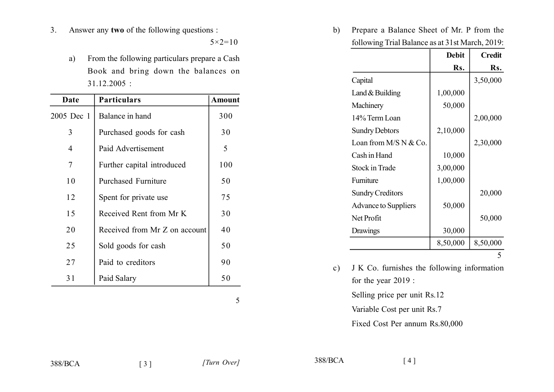$3<sub>1</sub>$ Answer any two of the following questions :

 $5 \times 2 = 10$ 

From the following particulars prepare a Cash  $a)$ Book and bring down the balances on  $31.12.2005$ :

| Date       | <b>Particulars</b>            | Amount |
|------------|-------------------------------|--------|
| 2005 Dec 1 | Balance in hand               | 300    |
| 3          | Purchased goods for cash      | 30     |
| 4          | Paid Advertisement            | 5      |
| 7          | Further capital introduced    | 100    |
| 10         | <b>Purchased Furniture</b>    | 50     |
| 12         | Spent for private use         | 75     |
| 15         | Received Rent from Mr K       | 30     |
| 20         | Received from Mr Z on account | 40     |
| 25         | Sold goods for cash           | 50     |
| 27         | Paid to creditors             | 90     |
| 31         | Paid Salary                   | 50     |

 $5\overline{)}$ 

Prepare a Balance Sheet of Mr. P from the  $b)$ following Trial Balance as at 31st March, 2019:

|                         | <b>Debit</b> | <b>Credit</b> |
|-------------------------|--------------|---------------|
|                         | Rs.          | Rs.           |
| Capital                 |              | 3,50,000      |
| Land $&$ Building       | 1,00,000     |               |
| Machinery               | 50,000       |               |
| 14% Term Loan           |              | 2,00,000      |
| <b>Sundry Debtors</b>   | 2,10,000     |               |
| Loan from $M/S N & Co.$ |              | 2,30,000      |
| Cash in Hand            | 10,000       |               |
| <b>Stock in Trade</b>   | 3,00,000     |               |
| Furniture               | 1,00,000     |               |
| <b>Sundry Creditors</b> |              | 20,000        |
| Advance to Suppliers    | 50,000       |               |
| Net Profit              |              | 50,000        |
| Drawings                | 30,000       |               |
|                         | 8,50,000     | 8,50,000      |
|                         |              |               |

J K Co. furnishes the following information  $\mathbf{c})$ for the year  $2019$ :

Selling price per unit Rs.12

Variable Cost per unit Rs.7

Fixed Cost Per annum Rs.80,000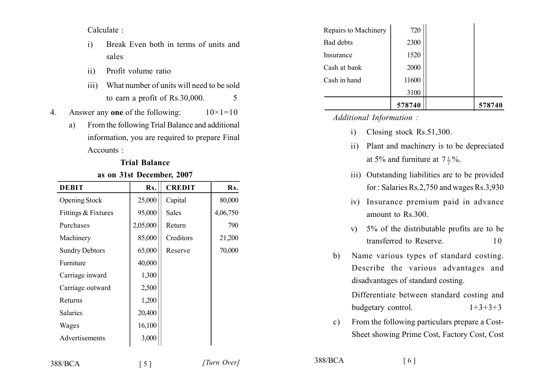Calculate:

- Break Even both in terms of units and  $\mathbf{i}$ sales
- Profit volume ratio  $\overline{11}$
- What number of units will need to be sold  $\overline{111}$ to earn a profit of Rs.30,000. 5
- Answer any one of the following:  $10 \times 1 = 10$ 4.
	- From the following Trial Balance and additional  $a)$ information, you are required to prepare Final Accounts:

| as on 31st December, 2007 |          |               |          |  |  |
|---------------------------|----------|---------------|----------|--|--|
| <b>DEBIT</b>              | Rs.      | <b>CREDIT</b> | Rs.      |  |  |
| <b>Opening Stock</b>      | 25,000   | Capital       | 80,000   |  |  |
| Fittings & Fixtures       | 95,000   | <b>Sales</b>  | 4,06,750 |  |  |
| Purchases                 | 2,05,000 | Return        | 790      |  |  |
| Machinery                 | 85,000   | Creditors     | 21,200   |  |  |
| <b>Sundry Debtors</b>     | 65,000   | Reserve       | 70,000   |  |  |
| Furniture                 | 40,000   |               |          |  |  |
| Carriage inward           | 1,300    |               |          |  |  |
| Carriage outward          | 2,500    |               |          |  |  |
| Returns                   | 1,200    |               |          |  |  |
| <b>Salaries</b>           | 20,400   |               |          |  |  |
| Wages                     | 16,100   |               |          |  |  |
| Advertisements            | 3,000    |               |          |  |  |
|                           |          |               |          |  |  |

### **Trial Balance**

 $\sim$   $\sim$   $\sim$   $\sim$ 

|                      | 578740 | 578740 |
|----------------------|--------|--------|
|                      | 3100   |        |
| Cash in hand         | 11600  |        |
| Cash at bank         | 2000   |        |
| Insurance            | 1520   |        |
| Bad debts            | 2300   |        |
| Repairs to Machinery | 720    |        |

Additional Information:

- Closing stock  $Rs.51,300$ .  $\mathbf{i}$
- Plant and machinery is to be depreciated  $\mathbf{ii}$ at 5% and furniture at  $7\frac{1}{2}\%$ .
- iii) Outstanding liabilities are to be provided for: Salaries Rs.2,750 and wages Rs.3,930
- iv) Insurance premium paid in advance amount to Rs.300.
- v) 5% of the distributable profits are to be transferred to Reserve 10
- Name various types of standard costing.  $b)$ Describe the various advantages and disadvantages of standard costing.

Differentiate between standard costing and budgetary control.  $1+3+3+3$ 

From the following particulars prepare a Cost $c)$ Sheet showing Prime Cost, Factory Cost, Cost

388/BCA